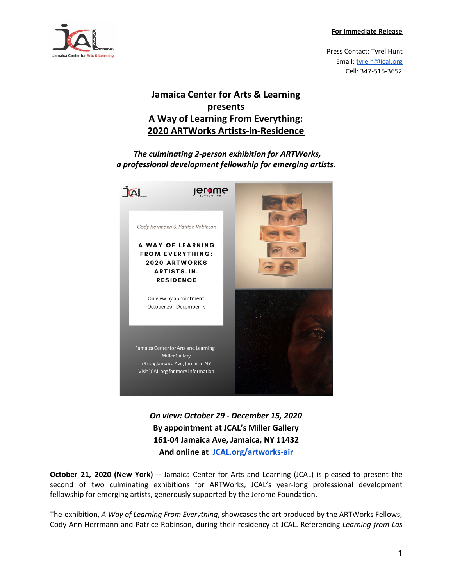**For Immediate Release**



Press Contact: Tyrel Hunt Email: [tyrelh@jcal.org](mailto:tyrelh@jcal.org) Cell: 347-515-3652

## **Jamaica Center for Arts & Learning presents A Way of Learning From Everything: 2020 ARTWorks Artists-in-Residence**

 *The culminating 2-person exhibition for ARTWorks, a professional development fellowship for emerging artists.*



*On view: October 29 - December 15, 2020* **By appointment at JCAL's Miller Gallery 161-04 Jamaica Ave, Jamaica, NY 11432 And online at [JCAL.org/artworks-air](http://www.jcal.org/artworks-air)**

**October 21, 2020 (New York) --** Jamaica Center for Arts and Learning (JCAL) is pleased to present the second of two culminating exhibitions for ARTWorks, JCAL's year-long professional development fellowship for emerging artists, generously supported by the Jerome Foundation.

The exhibition, *A Way of Learning From Everything*, showcases the art produced by the ARTWorks Fellows, Cody Ann Herrmann and Patrice Robinson, during their residency at JCAL. Referencing *Learning from Las*